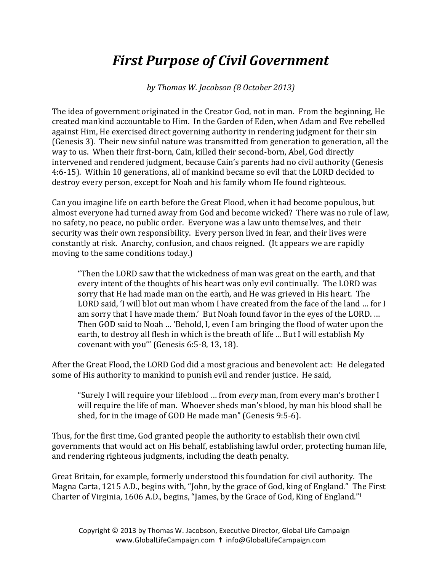## **First Purpose of Civil Government**

*by Thomas W. Jacobson (8 October 2013)* 

The idea of government originated in the Creator God, not in man. From the beginning, He created mankind accountable to Him. In the Garden of Eden, when Adam and Eve rebelled against Him, He exercised direct governing authority in rendering judgment for their sin (Genesis 3). Their new sinful nature was transmitted from generation to generation, all the way to us. When their first-born, Cain, killed their second-born, Abel, God directly intervened and rendered judgment, because Cain's parents had no civil authority (Genesis 4:6-15). Within 10 generations, all of mankind became so evil that the LORD decided to destroy every person, except for Noah and his family whom He found righteous.

Can you imagine life on earth before the Great Flood, when it had become populous, but almost everyone had turned away from God and become wicked? There was no rule of law, no safety, no peace, no public order. Everyone was a law unto themselves, and their security was their own responsibility. Every person lived in fear, and their lives were constantly at risk. Anarchy, confusion, and chaos reigned. (It appears we are rapidly moving to the same conditions today.)

"Then the LORD saw that the wickedness of man was great on the earth, and that every intent of the thoughts of his heart was only evil continually. The LORD was sorry that He had made man on the earth, and He was grieved in His heart. The LORD said, 'I will blot out man whom I have created from the face of the land ... for I am sorry that I have made them.' But Noah found favor in the eves of the LORD. ... Then GOD said to Noah ... 'Behold, I, even I am bringing the flood of water upon the earth, to destroy all flesh in which is the breath of life ... But I will establish My covenant with you"' (Genesis 6:5-8, 13, 18).

After the Great Flood, the LORD God did a most gracious and benevolent act: He delegated some of His authority to mankind to punish evil and render justice. He said,

"Surely I will require your lifeblood ... from *every* man, from every man's brother I will require the life of man. Whoever sheds man's blood, by man his blood shall be shed, for in the image of GOD He made man" (Genesis 9:5-6).

Thus, for the first time, God granted people the authority to establish their own civil governments that would act on His behalf, establishing lawful order, protecting human life, and rendering righteous judgments, including the death penalty.

Great Britain, for example, formerly understood this foundation for civil authority. The Magna Carta, 1215 A.D., begins with, "John, by the grace of God, king of England." The First Charter of Virginia,  $1606$  A.D., begins, "James, by the Grace of God, King of England."<sup>1</sup>